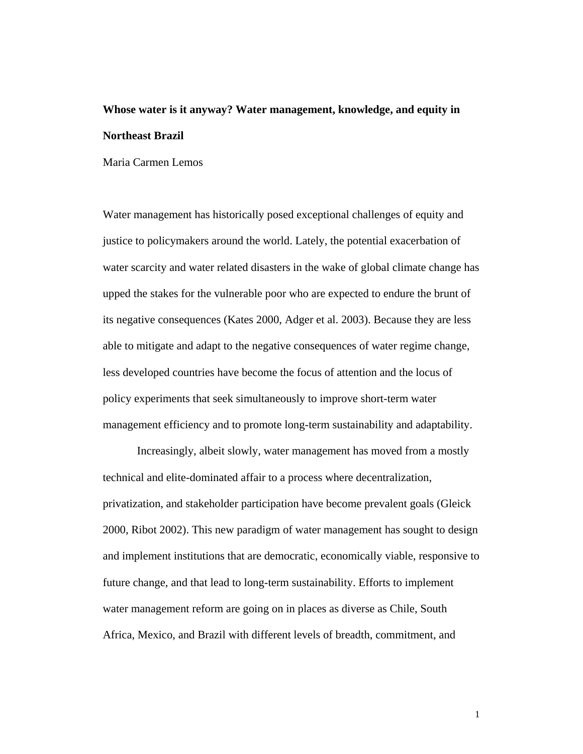# **Whose water is it anyway? Water management, knowledge, and equity in Northeast Brazil**

Maria Carmen Lemos

Water management has historically posed exceptional challenges of equity and justice to policymakers around the world. Lately, the potential exacerbation of water scarcity and water related disasters in the wake of global climate change has upped the stakes for the vulnerable poor who are expected to endure the brunt of its negative consequences (Kates 2000, Adger et al. 2003). Because they are less able to mitigate and adapt to the negative consequences of water regime change, less developed countries have become the focus of attention and the locus of policy experiments that seek simultaneously to improve short-term water management efficiency and to promote long-term sustainability and adaptability.

Increasingly, albeit slowly, water management has moved from a mostly technical and elite-dominated affair to a process where decentralization, privatization, and stakeholder participation have become prevalent goals (Gleick 2000, Ribot 2002). This new paradigm of water management has sought to design and implement institutions that are democratic, economically viable, responsive to future change, and that lead to long-term sustainability. Efforts to implement water management reform are going on in places as diverse as Chile, South Africa, Mexico, and Brazil with different levels of breadth, commitment, and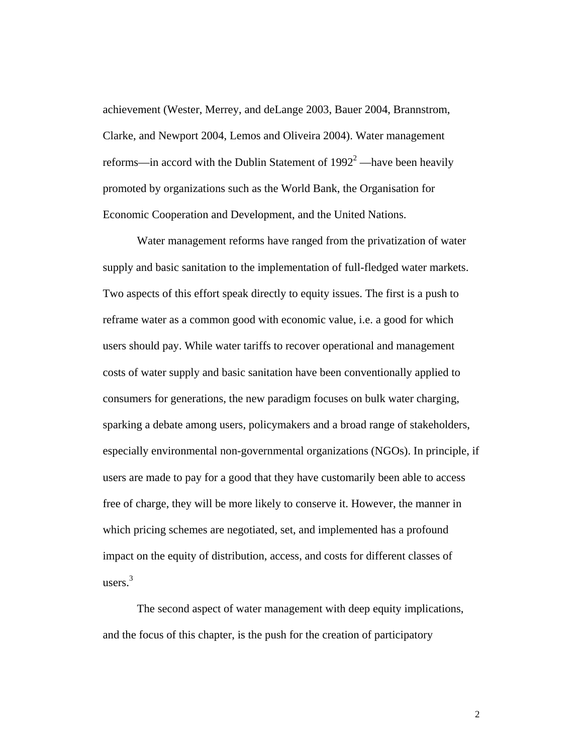achievement (Wester, Merrey, and deLange 2003, Bauer 2004, Brannstrom, Clarke, and Newport 2004, Lemos and Oliveira 2004). Water management reforms—in accord with the Dublin Statement of  $1992^2$  —have been heavily promoted by organizations such as the World Bank, the Organisation for Economic Cooperation and Development, and the United Nations.

Water management reforms have ranged from the privatization of water supply and basic sanitation to the implementation of full-fledged water markets. Two aspects of this effort speak directly to equity issues. The first is a push to reframe water as a common good with economic value, i.e. a good for which users should pay. While water tariffs to recover operational and management costs of water supply and basic sanitation have been conventionally applied to consumers for generations, the new paradigm focuses on bulk water charging, sparking a debate among users, policymakers and a broad range of stakeholders, especially environmental non-governmental organizations (NGOs). In principle, if users are made to pay for a good that they have customarily been able to access free of charge, they will be more likely to conserve it. However, the manner in which pricing schemes are negotiated, set, and implemented has a profound impact on the equity of distribution, access, and costs for different classes of users. $3$ 

The second aspect of water management with deep equity implications, and the focus of this chapter, is the push for the creation of participatory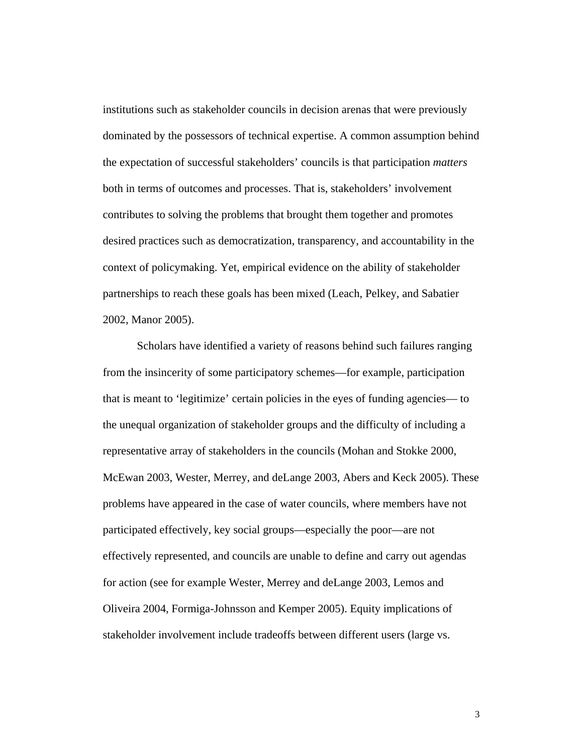institutions such as stakeholder councils in decision arenas that were previously dominated by the possessors of technical expertise. A common assumption behind the expectation of successful stakeholders' councils is that participation *matters* both in terms of outcomes and processes. That is, stakeholders' involvement contributes to solving the problems that brought them together and promotes desired practices such as democratization, transparency, and accountability in the context of policymaking. Yet, empirical evidence on the ability of stakeholder partnerships to reach these goals has been mixed (Leach, Pelkey, and Sabatier 2002, Manor 2005).

Scholars have identified a variety of reasons behind such failures ranging from the insincerity of some participatory schemes—for example, participation that is meant to 'legitimize' certain policies in the eyes of funding agencies— to the unequal organization of stakeholder groups and the difficulty of including a representative array of stakeholders in the councils (Mohan and Stokke 2000, McEwan 2003, Wester, Merrey, and deLange 2003, Abers and Keck 2005). These problems have appeared in the case of water councils, where members have not participated effectively, key social groups—especially the poor—are not effectively represented, and councils are unable to define and carry out agendas for action (see for example Wester, Merrey and deLange 2003, Lemos and Oliveira 2004, Formiga-Johnsson and Kemper 2005). Equity implications of stakeholder involvement include tradeoffs between different users (large vs.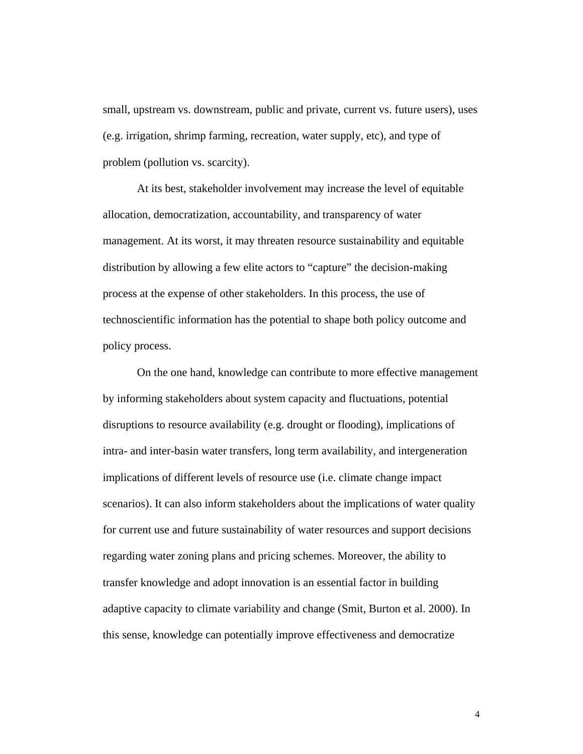small, upstream vs. downstream, public and private, current vs. future users), uses (e.g. irrigation, shrimp farming, recreation, water supply, etc), and type of problem (pollution vs. scarcity).

At its best, stakeholder involvement may increase the level of equitable allocation, democratization, accountability, and transparency of water management. At its worst, it may threaten resource sustainability and equitable distribution by allowing a few elite actors to "capture" the decision-making process at the expense of other stakeholders. In this process, the use of technoscientific information has the potential to shape both policy outcome and policy process.

On the one hand, knowledge can contribute to more effective management by informing stakeholders about system capacity and fluctuations, potential disruptions to resource availability (e.g. drought or flooding), implications of intra- and inter-basin water transfers, long term availability, and intergeneration implications of different levels of resource use (i.e. climate change impact scenarios). It can also inform stakeholders about the implications of water quality for current use and future sustainability of water resources and support decisions regarding water zoning plans and pricing schemes. Moreover, the ability to transfer knowledge and adopt innovation is an essential factor in building adaptive capacity to climate variability and change (Smit, Burton et al. 2000). In this sense, knowledge can potentially improve effectiveness and democratize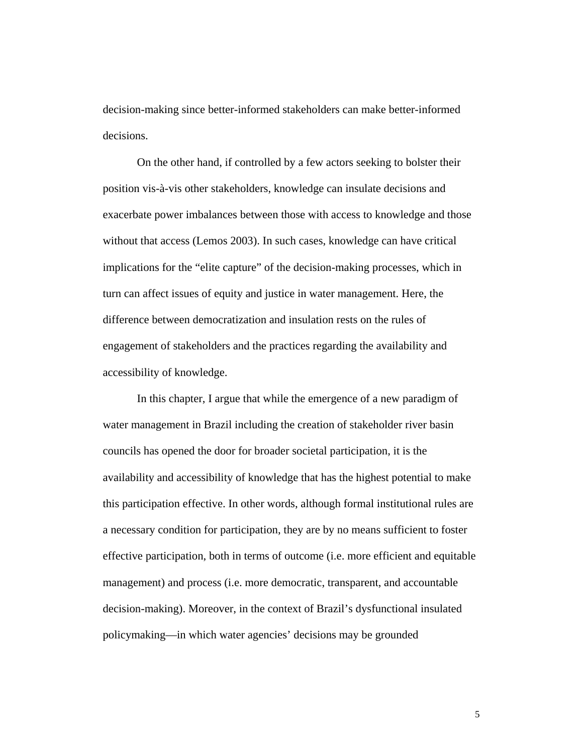decision-making since better-informed stakeholders can make better-informed decisions.

On the other hand, if controlled by a few actors seeking to bolster their position vis-à-vis other stakeholders, knowledge can insulate decisions and exacerbate power imbalances between those with access to knowledge and those without that access (Lemos 2003). In such cases, knowledge can have critical implications for the "elite capture" of the decision-making processes, which in turn can affect issues of equity and justice in water management. Here, the difference between democratization and insulation rests on the rules of engagement of stakeholders and the practices regarding the availability and accessibility of knowledge.

In this chapter, I argue that while the emergence of a new paradigm of water management in Brazil including the creation of stakeholder river basin councils has opened the door for broader societal participation, it is the availability and accessibility of knowledge that has the highest potential to make this participation effective. In other words, although formal institutional rules are a necessary condition for participation, they are by no means sufficient to foster effective participation, both in terms of outcome (i.e. more efficient and equitable management) and process (i.e. more democratic, transparent, and accountable decision-making). Moreover, in the context of Brazil's dysfunctional insulated policymaking—in which water agencies' decisions may be grounded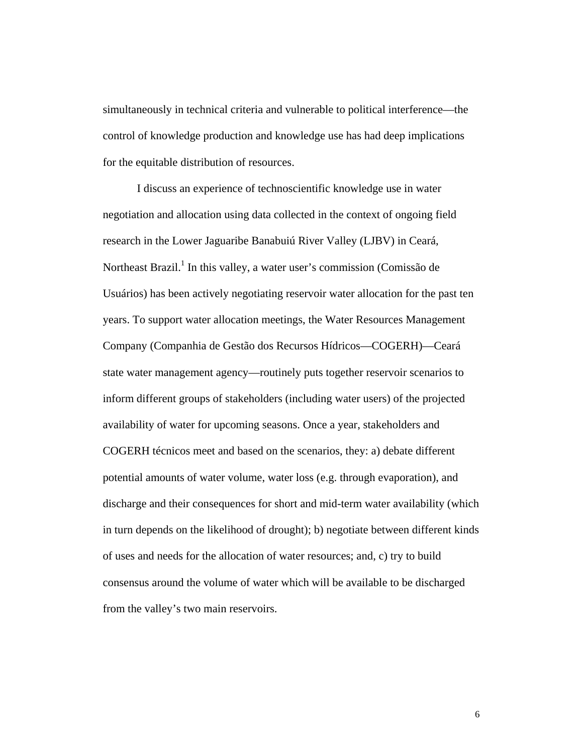simultaneously in technical criteria and vulnerable to political interference—the control of knowledge production and knowledge use has had deep implications for the equitable distribution of resources.

I discuss an experience of technoscientific knowledge use in water negotiation and allocation using data collected in the context of ongoing field research in the Lower Jaguaribe Banabuiú River Valley (LJBV) in Ceará, Northeast Brazil.<sup>1</sup> In this valley, a water user's commission (Comissão de Usuários) has been actively negotiating reservoir water allocation for the past ten years. To support water allocation meetings, the Water Resources Management Company (Companhia de Gestão dos Recursos Hídricos—COGERH)—Ceará state water management agency—routinely puts together reservoir scenarios to inform different groups of stakeholders (including water users) of the projected availability of water for upcoming seasons. Once a year, stakeholders and COGERH técnicos meet and based on the scenarios, they: a) debate different potential amounts of water volume, water loss (e.g. through evaporation), and discharge and their consequences for short and mid-term water availability (which in turn depends on the likelihood of drought); b) negotiate between different kinds of uses and needs for the allocation of water resources; and, c) try to build consensus around the volume of water which will be available to be discharged from the valley's two main reservoirs.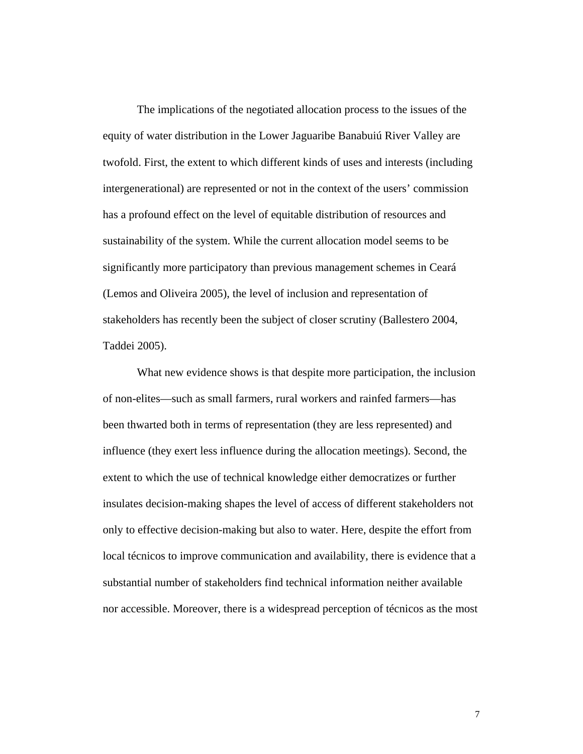The implications of the negotiated allocation process to the issues of the equity of water distribution in the Lower Jaguaribe Banabuiú River Valley are twofold. First, the extent to which different kinds of uses and interests (including intergenerational) are represented or not in the context of the users' commission has a profound effect on the level of equitable distribution of resources and sustainability of the system. While the current allocation model seems to be significantly more participatory than previous management schemes in Ceará (Lemos and Oliveira 2005), the level of inclusion and representation of stakeholders has recently been the subject of closer scrutiny (Ballestero 2004, Taddei 2005).

What new evidence shows is that despite more participation, the inclusion of non-elites—such as small farmers, rural workers and rainfed farmers—has been thwarted both in terms of representation (they are less represented) and influence (they exert less influence during the allocation meetings). Second, the extent to which the use of technical knowledge either democratizes or further insulates decision-making shapes the level of access of different stakeholders not only to effective decision-making but also to water. Here, despite the effort from local técnicos to improve communication and availability, there is evidence that a substantial number of stakeholders find technical information neither available nor accessible. Moreover, there is a widespread perception of técnicos as the most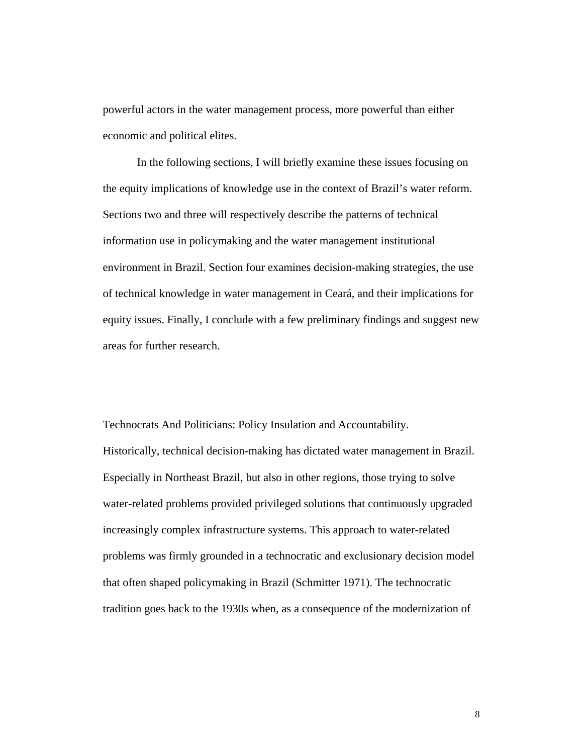powerful actors in the water management process, more powerful than either economic and political elites.

In the following sections, I will briefly examine these issues focusing on the equity implications of knowledge use in the context of Brazil's water reform. Sections two and three will respectively describe the patterns of technical information use in policymaking and the water management institutional environment in Brazil. Section four examines decision-making strategies, the use of technical knowledge in water management in Ceará, and their implications for equity issues. Finally, I conclude with a few preliminary findings and suggest new areas for further research.

Technocrats And Politicians: Policy Insulation and Accountability. Historically, technical decision-making has dictated water management in Brazil. Especially in Northeast Brazil, but also in other regions, those trying to solve water-related problems provided privileged solutions that continuously upgraded increasingly complex infrastructure systems. This approach to water-related problems was firmly grounded in a technocratic and exclusionary decision model that often shaped policymaking in Brazil (Schmitter 1971). The technocratic tradition goes back to the 1930s when, as a consequence of the modernization of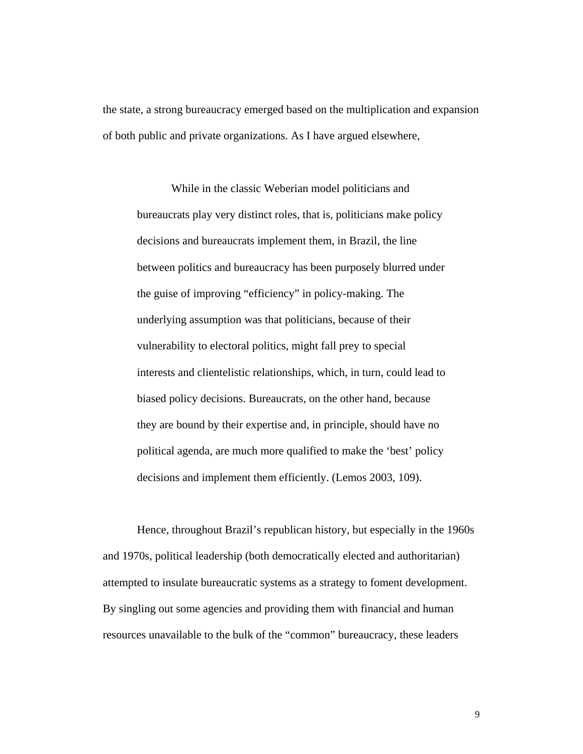the state, a strong bureaucracy emerged based on the multiplication and expansion of both public and private organizations. As I have argued elsewhere,

While in the classic Weberian model politicians and bureaucrats play very distinct roles, that is, politicians make policy decisions and bureaucrats implement them, in Brazil, the line between politics and bureaucracy has been purposely blurred under the guise of improving "efficiency" in policy-making. The underlying assumption was that politicians, because of their vulnerability to electoral politics, might fall prey to special interests and clientelistic relationships, which, in turn, could lead to biased policy decisions. Bureaucrats, on the other hand, because they are bound by their expertise and, in principle, should have no political agenda, are much more qualified to make the 'best' policy decisions and implement them efficiently. (Lemos 2003, 109).

Hence, throughout Brazil's republican history, but especially in the 1960s and 1970s, political leadership (both democratically elected and authoritarian) attempted to insulate bureaucratic systems as a strategy to foment development. By singling out some agencies and providing them with financial and human resources unavailable to the bulk of the "common" bureaucracy, these leaders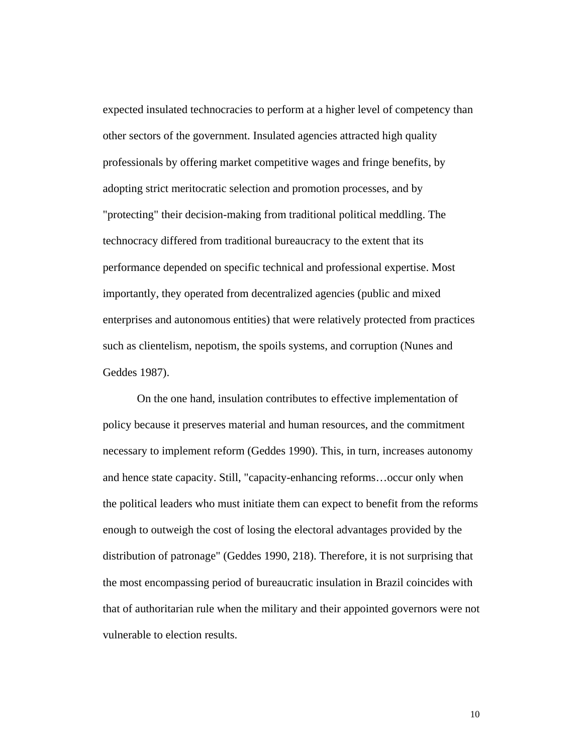expected insulated technocracies to perform at a higher level of competency than other sectors of the government. Insulated agencies attracted high quality professionals by offering market competitive wages and fringe benefits, by adopting strict meritocratic selection and promotion processes, and by "protecting" their decision-making from traditional political meddling. The technocracy differed from traditional bureaucracy to the extent that its performance depended on specific technical and professional expertise. Most importantly, they operated from decentralized agencies (public and mixed enterprises and autonomous entities) that were relatively protected from practices such as clientelism, nepotism, the spoils systems, and corruption (Nunes and Geddes 1987).

On the one hand, insulation contributes to effective implementation of policy because it preserves material and human resources, and the commitment necessary to implement reform (Geddes 1990). This, in turn, increases autonomy and hence state capacity. Still, "capacity-enhancing reforms…occur only when the political leaders who must initiate them can expect to benefit from the reforms enough to outweigh the cost of losing the electoral advantages provided by the distribution of patronage" (Geddes 1990, 218). Therefore, it is not surprising that the most encompassing period of bureaucratic insulation in Brazil coincides with that of authoritarian rule when the military and their appointed governors were not vulnerable to election results.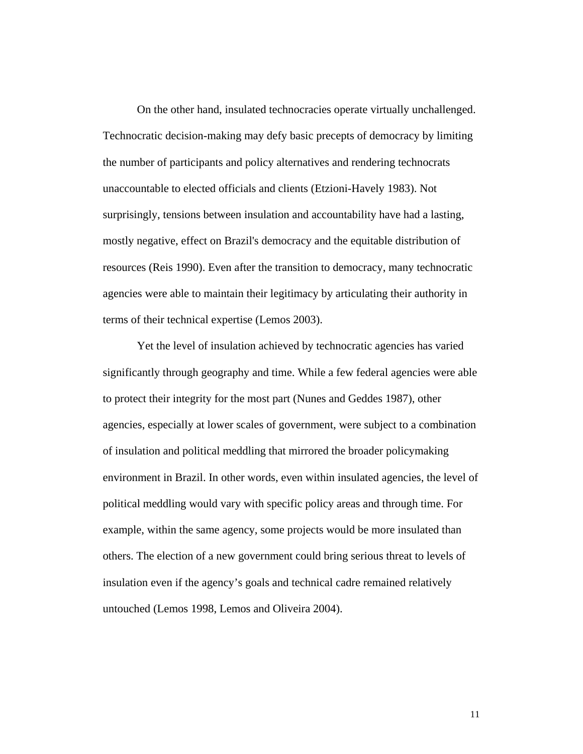On the other hand, insulated technocracies operate virtually unchallenged. Technocratic decision-making may defy basic precepts of democracy by limiting the number of participants and policy alternatives and rendering technocrats unaccountable to elected officials and clients (Etzioni-Havely 1983). Not surprisingly, tensions between insulation and accountability have had a lasting, mostly negative, effect on Brazil's democracy and the equitable distribution of resources (Reis 1990). Even after the transition to democracy, many technocratic agencies were able to maintain their legitimacy by articulating their authority in terms of their technical expertise (Lemos 2003).

Yet the level of insulation achieved by technocratic agencies has varied significantly through geography and time. While a few federal agencies were able to protect their integrity for the most part (Nunes and Geddes 1987), other agencies, especially at lower scales of government, were subject to a combination of insulation and political meddling that mirrored the broader policymaking environment in Brazil. In other words, even within insulated agencies, the level of political meddling would vary with specific policy areas and through time. For example, within the same agency, some projects would be more insulated than others. The election of a new government could bring serious threat to levels of insulation even if the agency's goals and technical cadre remained relatively untouched (Lemos 1998, Lemos and Oliveira 2004).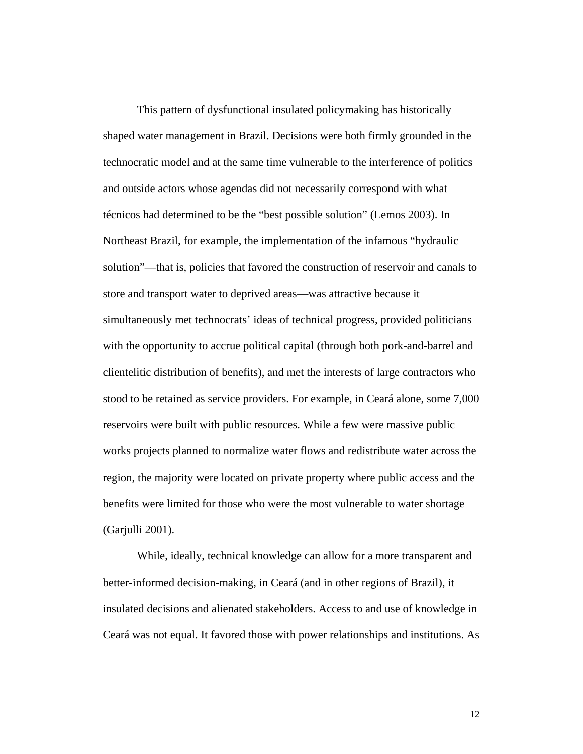This pattern of dysfunctional insulated policymaking has historically shaped water management in Brazil. Decisions were both firmly grounded in the technocratic model and at the same time vulnerable to the interference of politics and outside actors whose agendas did not necessarily correspond with what técnicos had determined to be the "best possible solution" (Lemos 2003). In Northeast Brazil, for example, the implementation of the infamous "hydraulic solution"—that is, policies that favored the construction of reservoir and canals to store and transport water to deprived areas—was attractive because it simultaneously met technocrats' ideas of technical progress, provided politicians with the opportunity to accrue political capital (through both pork-and-barrel and clientelitic distribution of benefits), and met the interests of large contractors who stood to be retained as service providers. For example, in Ceará alone, some 7,000 reservoirs were built with public resources. While a few were massive public works projects planned to normalize water flows and redistribute water across the region, the majority were located on private property where public access and the benefits were limited for those who were the most vulnerable to water shortage (Garjulli 2001).

While, ideally, technical knowledge can allow for a more transparent and better-informed decision-making, in Ceará (and in other regions of Brazil), it insulated decisions and alienated stakeholders. Access to and use of knowledge in Ceará was not equal. It favored those with power relationships and institutions. As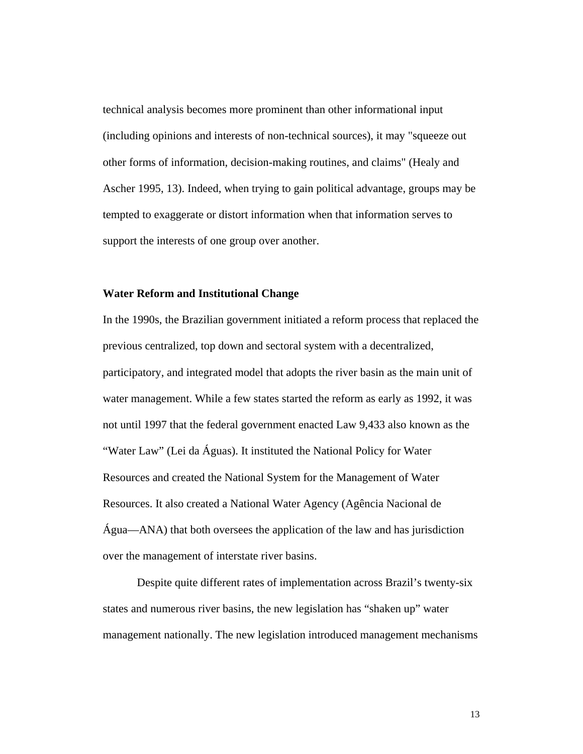technical analysis becomes more prominent than other informational input (including opinions and interests of non-technical sources), it may "squeeze out other forms of information, decision-making routines, and claims" (Healy and Ascher 1995, 13). Indeed, when trying to gain political advantage, groups may be tempted to exaggerate or distort information when that information serves to support the interests of one group over another.

# **Water Reform and Institutional Change**

In the 1990s, the Brazilian government initiated a reform process that replaced the previous centralized, top down and sectoral system with a decentralized, participatory, and integrated model that adopts the river basin as the main unit of water management. While a few states started the reform as early as 1992, it was not until 1997 that the federal government enacted Law 9,433 also known as the "Water Law" (Lei da Águas). It instituted the National Policy for Water Resources and created the National System for the Management of Water Resources. It also created a National Water Agency (Agência Nacional de Água—ANA) that both oversees the application of the law and has jurisdiction over the management of interstate river basins.

Despite quite different rates of implementation across Brazil's twenty-six states and numerous river basins, the new legislation has "shaken up" water management nationally. The new legislation introduced management mechanisms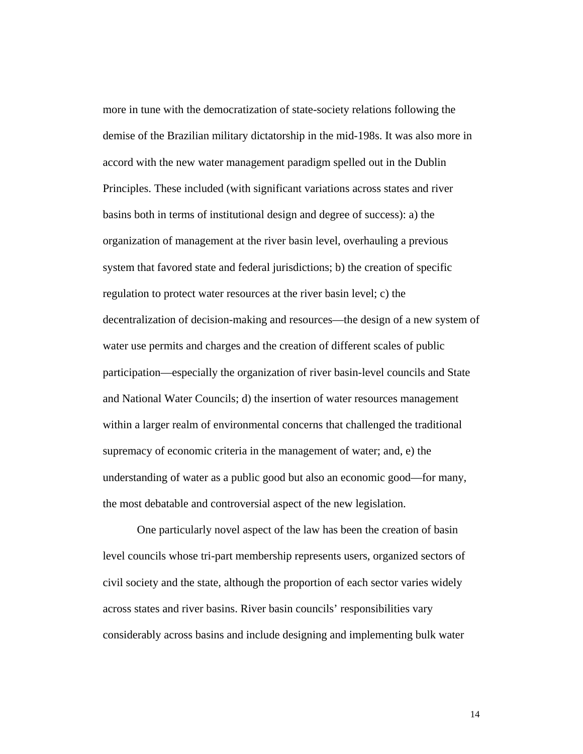more in tune with the democratization of state-society relations following the demise of the Brazilian military dictatorship in the mid-198s. It was also more in accord with the new water management paradigm spelled out in the Dublin Principles. These included (with significant variations across states and river basins both in terms of institutional design and degree of success): a) the organization of management at the river basin level, overhauling a previous system that favored state and federal jurisdictions; b) the creation of specific regulation to protect water resources at the river basin level; c) the decentralization of decision-making and resources—the design of a new system of water use permits and charges and the creation of different scales of public participation—especially the organization of river basin-level councils and State and National Water Councils; d) the insertion of water resources management within a larger realm of environmental concerns that challenged the traditional supremacy of economic criteria in the management of water; and, e) the understanding of water as a public good but also an economic good—for many, the most debatable and controversial aspect of the new legislation.

One particularly novel aspect of the law has been the creation of basin level councils whose tri-part membership represents users, organized sectors of civil society and the state, although the proportion of each sector varies widely across states and river basins. River basin councils' responsibilities vary considerably across basins and include designing and implementing bulk water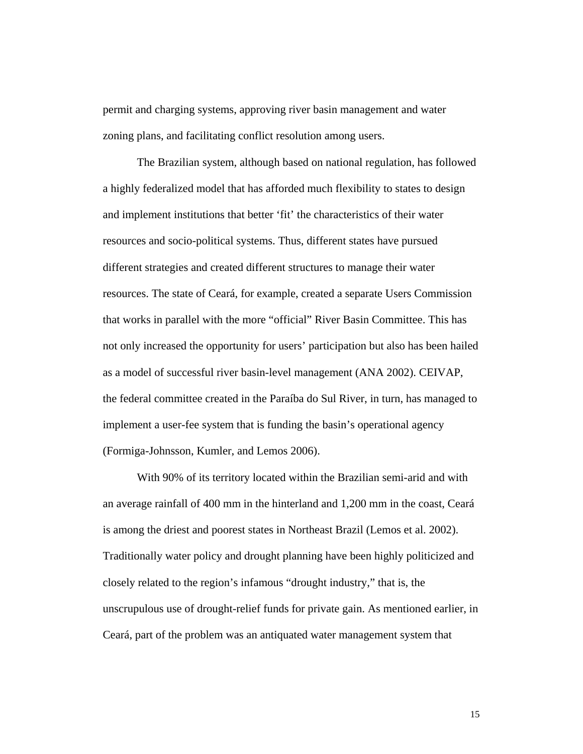permit and charging systems, approving river basin management and water zoning plans, and facilitating conflict resolution among users.

The Brazilian system, although based on national regulation, has followed a highly federalized model that has afforded much flexibility to states to design and implement institutions that better 'fit' the characteristics of their water resources and socio-political systems. Thus, different states have pursued different strategies and created different structures to manage their water resources. The state of Ceará, for example, created a separate Users Commission that works in parallel with the more "official" River Basin Committee. This has not only increased the opportunity for users' participation but also has been hailed as a model of successful river basin-level management (ANA 2002). CEIVAP, the federal committee created in the Paraíba do Sul River, in turn, has managed to implement a user-fee system that is funding the basin's operational agency (Formiga-Johnsson, Kumler, and Lemos 2006).

With 90% of its territory located within the Brazilian semi-arid and with an average rainfall of 400 mm in the hinterland and 1,200 mm in the coast, Ceará is among the driest and poorest states in Northeast Brazil (Lemos et al. 2002). Traditionally water policy and drought planning have been highly politicized and closely related to the region's infamous "drought industry," that is, the unscrupulous use of drought-relief funds for private gain. As mentioned earlier, in Ceará, part of the problem was an antiquated water management system that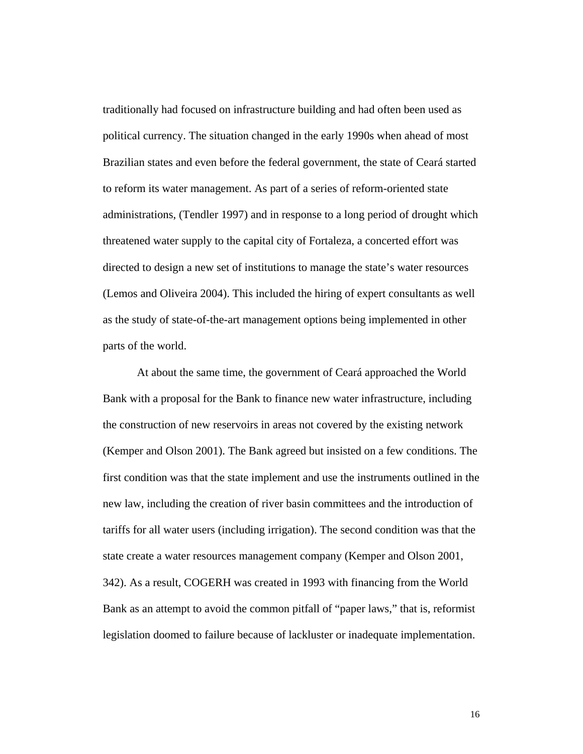traditionally had focused on infrastructure building and had often been used as political currency. The situation changed in the early 1990s when ahead of most Brazilian states and even before the federal government, the state of Ceará started to reform its water management. As part of a series of reform-oriented state administrations, (Tendler 1997) and in response to a long period of drought which threatened water supply to the capital city of Fortaleza, a concerted effort was directed to design a new set of institutions to manage the state's water resources (Lemos and Oliveira 2004). This included the hiring of expert consultants as well as the study of state-of-the-art management options being implemented in other parts of the world.

At about the same time, the government of Ceará approached the World Bank with a proposal for the Bank to finance new water infrastructure, including the construction of new reservoirs in areas not covered by the existing network (Kemper and Olson 2001). The Bank agreed but insisted on a few conditions. The first condition was that the state implement and use the instruments outlined in the new law, including the creation of river basin committees and the introduction of tariffs for all water users (including irrigation). The second condition was that the state create a water resources management company (Kemper and Olson 2001, 342). As a result, COGERH was created in 1993 with financing from the World Bank as an attempt to avoid the common pitfall of "paper laws," that is, reformist legislation doomed to failure because of lackluster or inadequate implementation.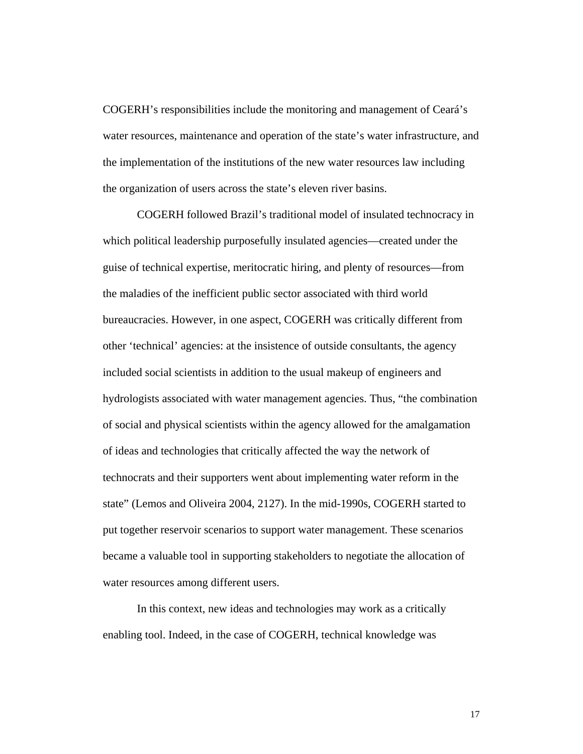COGERH's responsibilities include the monitoring and management of Ceará's water resources, maintenance and operation of the state's water infrastructure, and the implementation of the institutions of the new water resources law including the organization of users across the state's eleven river basins.

COGERH followed Brazil's traditional model of insulated technocracy in which political leadership purposefully insulated agencies—created under the guise of technical expertise, meritocratic hiring, and plenty of resources—from the maladies of the inefficient public sector associated with third world bureaucracies. However, in one aspect, COGERH was critically different from other 'technical' agencies: at the insistence of outside consultants, the agency included social scientists in addition to the usual makeup of engineers and hydrologists associated with water management agencies. Thus, "the combination of social and physical scientists within the agency allowed for the amalgamation of ideas and technologies that critically affected the way the network of technocrats and their supporters went about implementing water reform in the state" (Lemos and Oliveira 2004, 2127). In the mid-1990s, COGERH started to put together reservoir scenarios to support water management. These scenarios became a valuable tool in supporting stakeholders to negotiate the allocation of water resources among different users.

In this context, new ideas and technologies may work as a critically enabling tool. Indeed, in the case of COGERH, technical knowledge was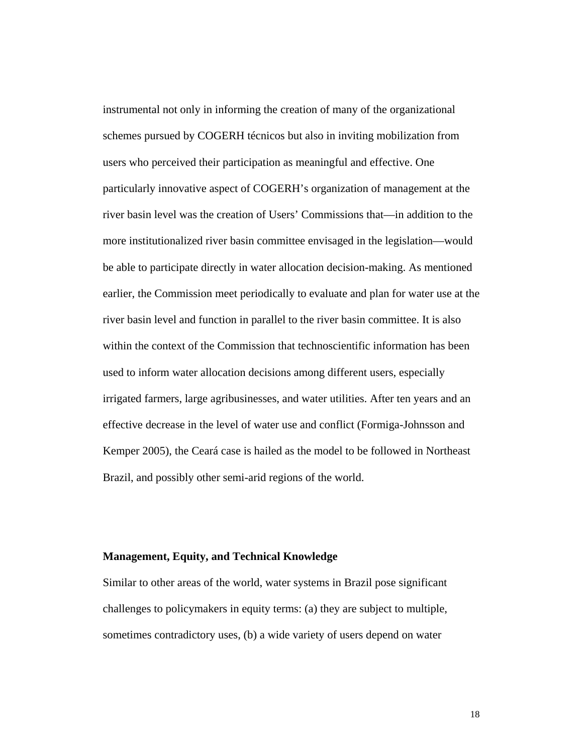instrumental not only in informing the creation of many of the organizational schemes pursued by COGERH técnicos but also in inviting mobilization from users who perceived their participation as meaningful and effective. One particularly innovative aspect of COGERH's organization of management at the river basin level was the creation of Users' Commissions that—in addition to the more institutionalized river basin committee envisaged in the legislation—would be able to participate directly in water allocation decision-making. As mentioned earlier, the Commission meet periodically to evaluate and plan for water use at the river basin level and function in parallel to the river basin committee. It is also within the context of the Commission that technoscientific information has been used to inform water allocation decisions among different users, especially irrigated farmers, large agribusinesses, and water utilities. After ten years and an effective decrease in the level of water use and conflict (Formiga-Johnsson and Kemper 2005), the Ceará case is hailed as the model to be followed in Northeast Brazil, and possibly other semi-arid regions of the world.

## **Management, Equity, and Technical Knowledge**

Similar to other areas of the world, water systems in Brazil pose significant challenges to policymakers in equity terms: (a) they are subject to multiple, sometimes contradictory uses, (b) a wide variety of users depend on water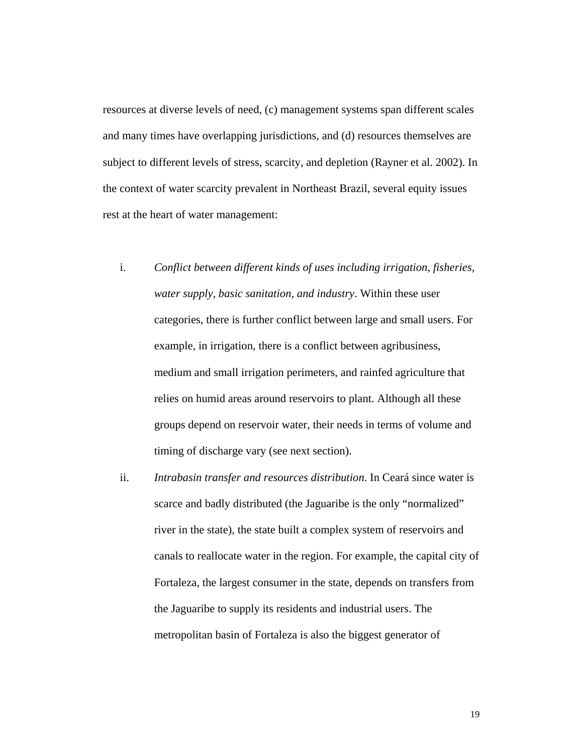resources at diverse levels of need, (c) management systems span different scales and many times have overlapping jurisdictions, and (d) resources themselves are subject to different levels of stress, scarcity, and depletion (Rayner et al. 2002). In the context of water scarcity prevalent in Northeast Brazil, several equity issues rest at the heart of water management:

- i. *Conflict between different kinds of uses including irrigation, fisheries, water supply, basic sanitation, and industry*. Within these user categories, there is further conflict between large and small users. For example, in irrigation, there is a conflict between agribusiness, medium and small irrigation perimeters, and rainfed agriculture that relies on humid areas around reservoirs to plant. Although all these groups depend on reservoir water, their needs in terms of volume and timing of discharge vary (see next section).
- ii. *Intrabasin transfer and resources distribution*. In Ceará since water is scarce and badly distributed (the Jaguaribe is the only "normalized" river in the state), the state built a complex system of reservoirs and canals to reallocate water in the region. For example, the capital city of Fortaleza, the largest consumer in the state, depends on transfers from the Jaguaribe to supply its residents and industrial users. The metropolitan basin of Fortaleza is also the biggest generator of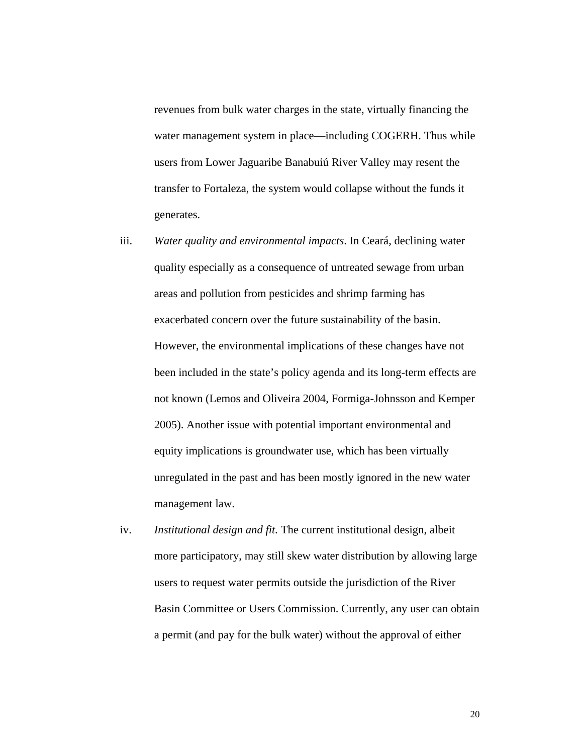revenues from bulk water charges in the state, virtually financing the water management system in place—including COGERH. Thus while users from Lower Jaguaribe Banabuiú River Valley may resent the transfer to Fortaleza, the system would collapse without the funds it generates.

- iii. *Water quality and environmental impacts*. In Ceará, declining water quality especially as a consequence of untreated sewage from urban areas and pollution from pesticides and shrimp farming has exacerbated concern over the future sustainability of the basin. However, the environmental implications of these changes have not been included in the state's policy agenda and its long-term effects are not known (Lemos and Oliveira 2004, Formiga-Johnsson and Kemper 2005). Another issue with potential important environmental and equity implications is groundwater use, which has been virtually unregulated in the past and has been mostly ignored in the new water management law.
- iv. *Institutional design and fit.* The current institutional design, albeit more participatory, may still skew water distribution by allowing large users to request water permits outside the jurisdiction of the River Basin Committee or Users Commission. Currently, any user can obtain a permit (and pay for the bulk water) without the approval of either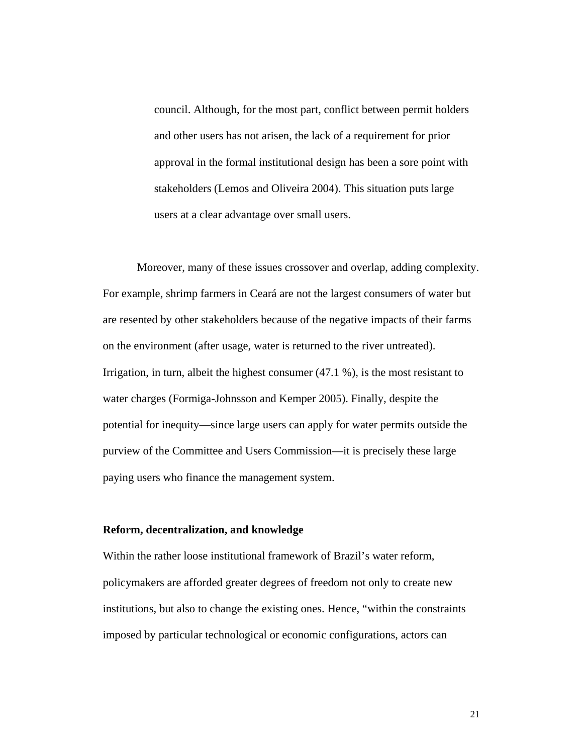council. Although, for the most part, conflict between permit holders and other users has not arisen, the lack of a requirement for prior approval in the formal institutional design has been a sore point with stakeholders (Lemos and Oliveira 2004). This situation puts large users at a clear advantage over small users.

Moreover, many of these issues crossover and overlap, adding complexity. For example, shrimp farmers in Ceará are not the largest consumers of water but are resented by other stakeholders because of the negative impacts of their farms on the environment (after usage, water is returned to the river untreated). Irrigation, in turn, albeit the highest consumer (47.1 %), is the most resistant to water charges (Formiga-Johnsson and Kemper 2005). Finally, despite the potential for inequity—since large users can apply for water permits outside the purview of the Committee and Users Commission—it is precisely these large paying users who finance the management system.

#### **Reform, decentralization, and knowledge**

Within the rather loose institutional framework of Brazil's water reform, policymakers are afforded greater degrees of freedom not only to create new institutions, but also to change the existing ones. Hence, "within the constraints imposed by particular technological or economic configurations, actors can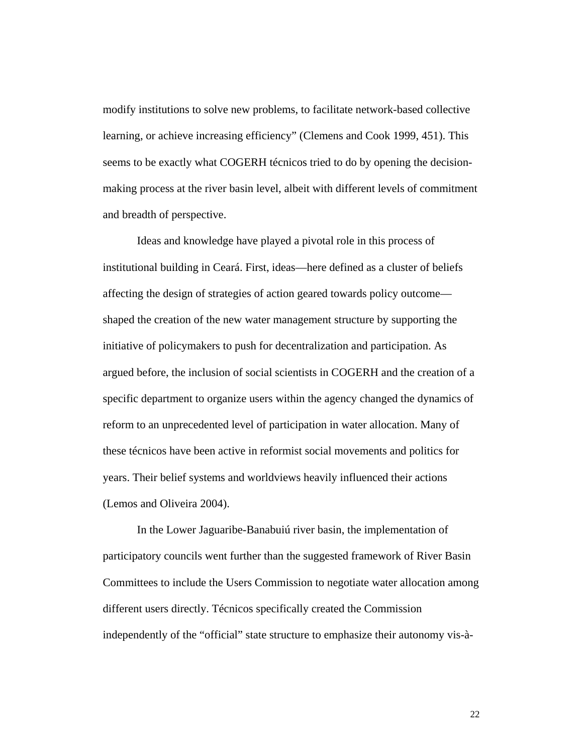modify institutions to solve new problems, to facilitate network-based collective learning, or achieve increasing efficiency" (Clemens and Cook 1999, 451). This seems to be exactly what COGERH técnicos tried to do by opening the decisionmaking process at the river basin level, albeit with different levels of commitment and breadth of perspective.

Ideas and knowledge have played a pivotal role in this process of institutional building in Ceará. First, ideas—here defined as a cluster of beliefs affecting the design of strategies of action geared towards policy outcome shaped the creation of the new water management structure by supporting the initiative of policymakers to push for decentralization and participation. As argued before, the inclusion of social scientists in COGERH and the creation of a specific department to organize users within the agency changed the dynamics of reform to an unprecedented level of participation in water allocation. Many of these técnicos have been active in reformist social movements and politics for years. Their belief systems and worldviews heavily influenced their actions (Lemos and Oliveira 2004).

In the Lower Jaguaribe-Banabuiú river basin, the implementation of participatory councils went further than the suggested framework of River Basin Committees to include the Users Commission to negotiate water allocation among different users directly. Técnicos specifically created the Commission independently of the "official" state structure to emphasize their autonomy vis-à-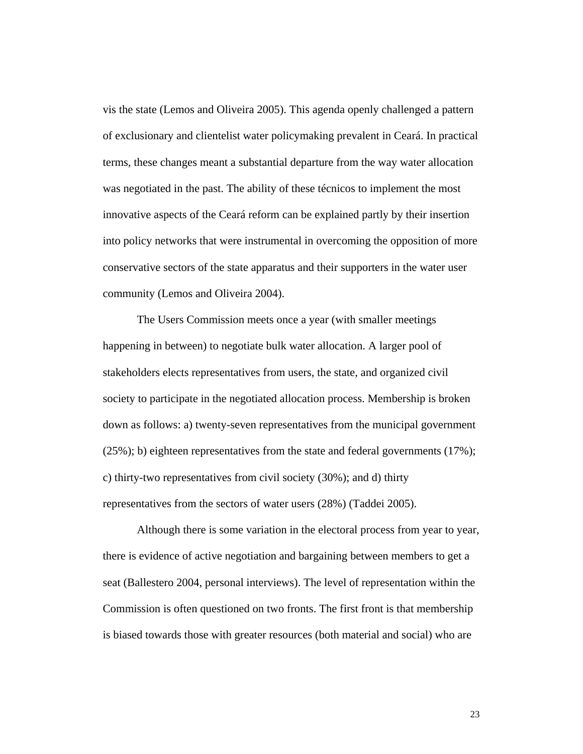vis the state (Lemos and Oliveira 2005). This agenda openly challenged a pattern of exclusionary and clientelist water policymaking prevalent in Ceará. In practical terms, these changes meant a substantial departure from the way water allocation was negotiated in the past. The ability of these técnicos to implement the most innovative aspects of the Ceará reform can be explained partly by their insertion into policy networks that were instrumental in overcoming the opposition of more conservative sectors of the state apparatus and their supporters in the water user community (Lemos and Oliveira 2004).

The Users Commission meets once a year (with smaller meetings happening in between) to negotiate bulk water allocation. A larger pool of stakeholders elects representatives from users, the state, and organized civil society to participate in the negotiated allocation process. Membership is broken down as follows: a) twenty-seven representatives from the municipal government (25%); b) eighteen representatives from the state and federal governments (17%); c) thirty-two representatives from civil society (30%); and d) thirty representatives from the sectors of water users (28%) (Taddei 2005).

Although there is some variation in the electoral process from year to year, there is evidence of active negotiation and bargaining between members to get a seat (Ballestero 2004, personal interviews). The level of representation within the Commission is often questioned on two fronts. The first front is that membership is biased towards those with greater resources (both material and social) who are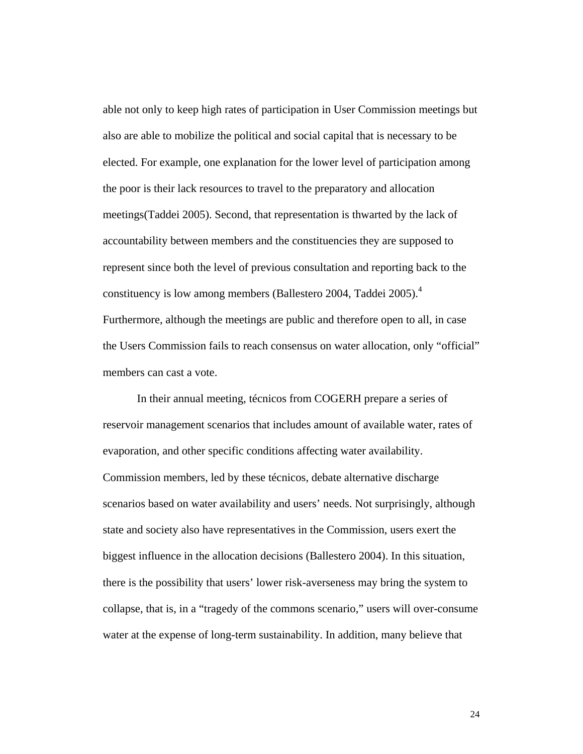able not only to keep high rates of participation in User Commission meetings but also are able to mobilize the political and social capital that is necessary to be elected. For example, one explanation for the lower level of participation among the poor is their lack resources to travel to the preparatory and allocation meetings(Taddei 2005). Second, that representation is thwarted by the lack of accountability between members and the constituencies they are supposed to represent since both the level of previous consultation and reporting back to the constituency is low among members (Ballestero 2004, Taddei 2005).<sup>4</sup> Furthermore, although the meetings are public and therefore open to all, in case the Users Commission fails to reach consensus on water allocation, only "official" members can cast a vote.

In their annual meeting, técnicos from COGERH prepare a series of reservoir management scenarios that includes amount of available water, rates of evaporation, and other specific conditions affecting water availability. Commission members, led by these técnicos, debate alternative discharge scenarios based on water availability and users' needs. Not surprisingly, although state and society also have representatives in the Commission, users exert the biggest influence in the allocation decisions (Ballestero 2004). In this situation, there is the possibility that users' lower risk-averseness may bring the system to collapse, that is, in a "tragedy of the commons scenario," users will over-consume water at the expense of long-term sustainability. In addition, many believe that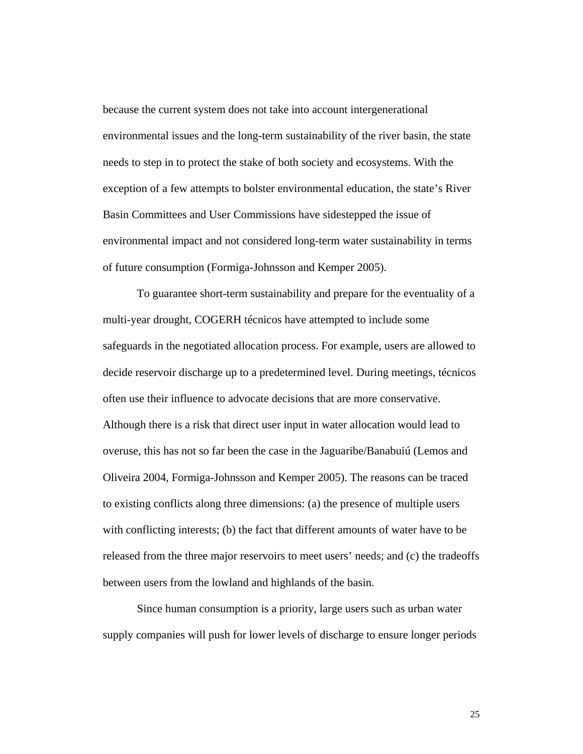because the current system does not take into account intergenerational environmental issues and the long-term sustainability of the river basin, the state needs to step in to protect the stake of both society and ecosystems. With the exception of a few attempts to bolster environmental education, the state's River Basin Committees and User Commissions have sidestepped the issue of environmental impact and not considered long-term water sustainability in terms of future consumption (Formiga-Johnsson and Kemper 2005).

To guarantee short-term sustainability and prepare for the eventuality of a multi-year drought, COGERH técnicos have attempted to include some safeguards in the negotiated allocation process. For example, users are allowed to decide reservoir discharge up to a predetermined level. During meetings, técnicos often use their influence to advocate decisions that are more conservative. Although there is a risk that direct user input in water allocation would lead to overuse, this has not so far been the case in the Jaguaribe/Banabuiú (Lemos and Oliveira 2004, Formiga-Johnsson and Kemper 2005). The reasons can be traced to existing conflicts along three dimensions: (a) the presence of multiple users with conflicting interests; (b) the fact that different amounts of water have to be released from the three major reservoirs to meet users' needs; and (c) the tradeoffs between users from the lowland and highlands of the basin.

Since human consumption is a priority, large users such as urban water supply companies will push for lower levels of discharge to ensure longer periods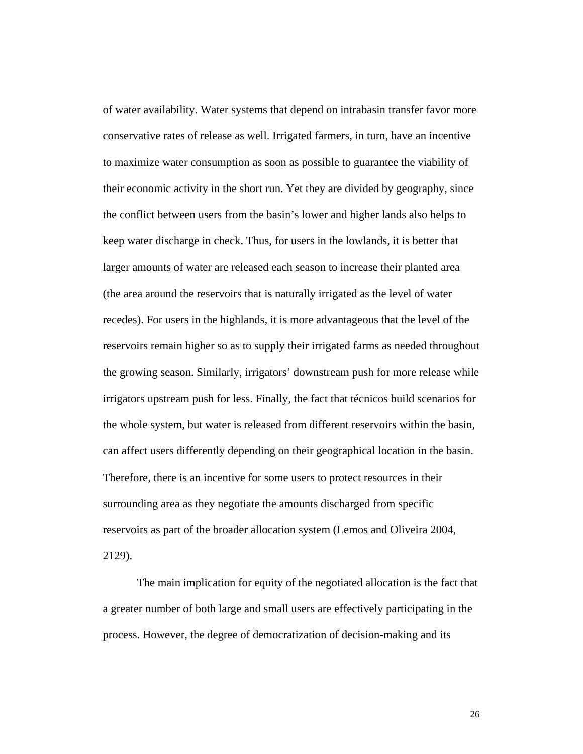of water availability. Water systems that depend on intrabasin transfer favor more conservative rates of release as well. Irrigated farmers, in turn, have an incentive to maximize water consumption as soon as possible to guarantee the viability of their economic activity in the short run. Yet they are divided by geography, since the conflict between users from the basin's lower and higher lands also helps to keep water discharge in check. Thus, for users in the lowlands, it is better that larger amounts of water are released each season to increase their planted area (the area around the reservoirs that is naturally irrigated as the level of water recedes). For users in the highlands, it is more advantageous that the level of the reservoirs remain higher so as to supply their irrigated farms as needed throughout the growing season. Similarly, irrigators' downstream push for more release while irrigators upstream push for less. Finally, the fact that técnicos build scenarios for the whole system, but water is released from different reservoirs within the basin, can affect users differently depending on their geographical location in the basin. Therefore, there is an incentive for some users to protect resources in their surrounding area as they negotiate the amounts discharged from specific reservoirs as part of the broader allocation system (Lemos and Oliveira 2004, 2129).

The main implication for equity of the negotiated allocation is the fact that a greater number of both large and small users are effectively participating in the process. However, the degree of democratization of decision-making and its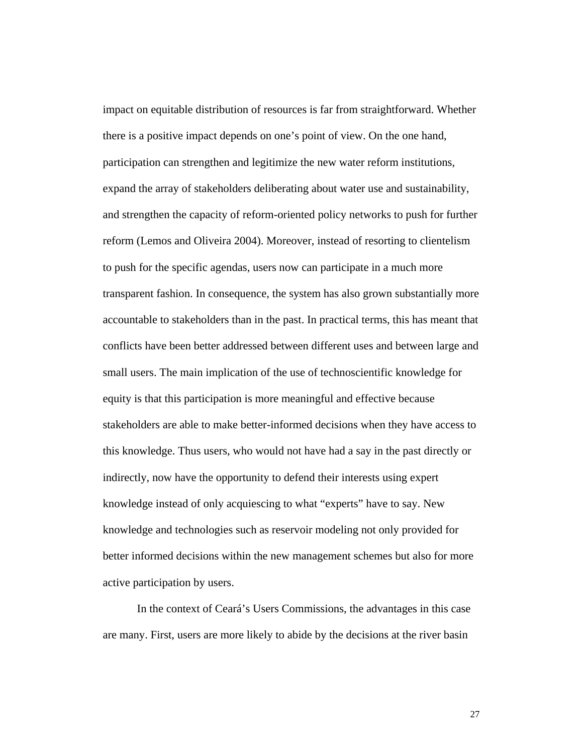impact on equitable distribution of resources is far from straightforward. Whether there is a positive impact depends on one's point of view. On the one hand, participation can strengthen and legitimize the new water reform institutions, expand the array of stakeholders deliberating about water use and sustainability, and strengthen the capacity of reform-oriented policy networks to push for further reform (Lemos and Oliveira 2004). Moreover, instead of resorting to clientelism to push for the specific agendas, users now can participate in a much more transparent fashion. In consequence, the system has also grown substantially more accountable to stakeholders than in the past. In practical terms, this has meant that conflicts have been better addressed between different uses and between large and small users. The main implication of the use of technoscientific knowledge for equity is that this participation is more meaningful and effective because stakeholders are able to make better-informed decisions when they have access to this knowledge. Thus users, who would not have had a say in the past directly or indirectly, now have the opportunity to defend their interests using expert knowledge instead of only acquiescing to what "experts" have to say. New knowledge and technologies such as reservoir modeling not only provided for better informed decisions within the new management schemes but also for more active participation by users.

In the context of Ceará's Users Commissions, the advantages in this case are many. First, users are more likely to abide by the decisions at the river basin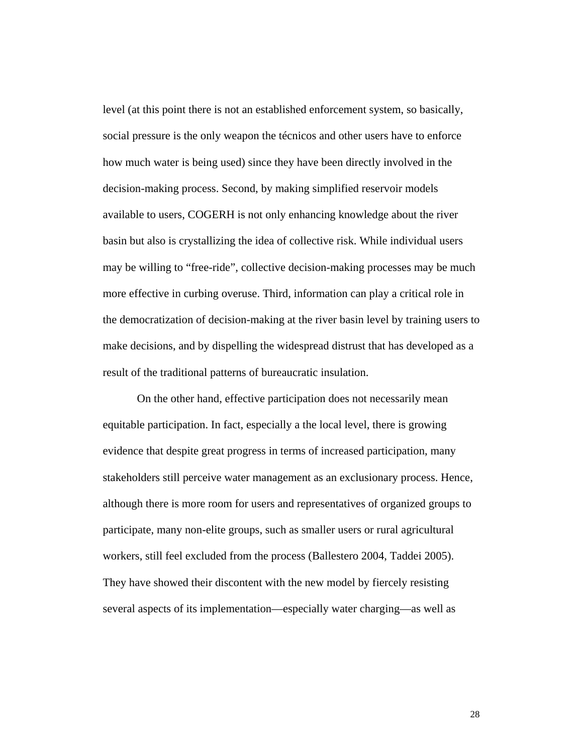level (at this point there is not an established enforcement system, so basically, social pressure is the only weapon the técnicos and other users have to enforce how much water is being used) since they have been directly involved in the decision-making process. Second, by making simplified reservoir models available to users, COGERH is not only enhancing knowledge about the river basin but also is crystallizing the idea of collective risk. While individual users may be willing to "free-ride", collective decision-making processes may be much more effective in curbing overuse. Third, information can play a critical role in the democratization of decision-making at the river basin level by training users to make decisions, and by dispelling the widespread distrust that has developed as a result of the traditional patterns of bureaucratic insulation.

On the other hand, effective participation does not necessarily mean equitable participation. In fact, especially a the local level, there is growing evidence that despite great progress in terms of increased participation, many stakeholders still perceive water management as an exclusionary process. Hence, although there is more room for users and representatives of organized groups to participate, many non-elite groups, such as smaller users or rural agricultural workers, still feel excluded from the process (Ballestero 2004, Taddei 2005). They have showed their discontent with the new model by fiercely resisting several aspects of its implementation—especially water charging—as well as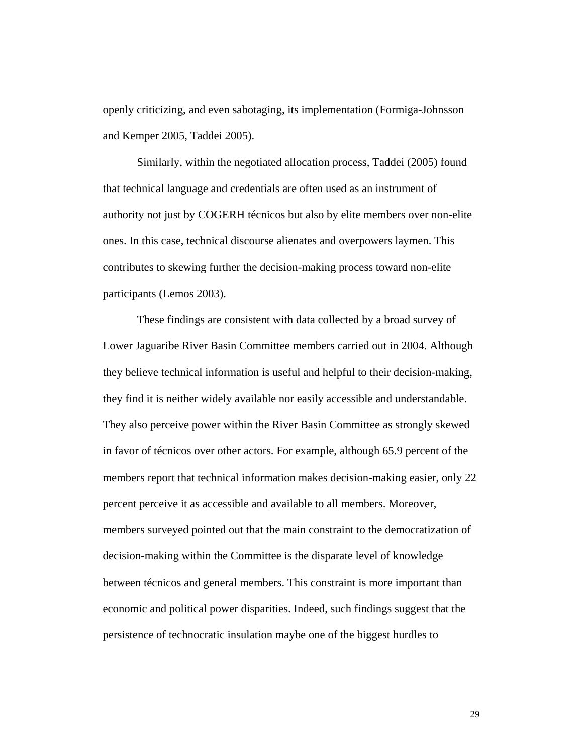openly criticizing, and even sabotaging, its implementation (Formiga-Johnsson and Kemper 2005, Taddei 2005).

Similarly, within the negotiated allocation process, Taddei (2005) found that technical language and credentials are often used as an instrument of authority not just by COGERH técnicos but also by elite members over non-elite ones. In this case, technical discourse alienates and overpowers laymen. This contributes to skewing further the decision-making process toward non-elite participants (Lemos 2003).

These findings are consistent with data collected by a broad survey of Lower Jaguaribe River Basin Committee members carried out in 2004. Although they believe technical information is useful and helpful to their decision-making, they find it is neither widely available nor easily accessible and understandable. They also perceive power within the River Basin Committee as strongly skewed in favor of técnicos over other actors. For example, although 65.9 percent of the members report that technical information makes decision-making easier, only 22 percent perceive it as accessible and available to all members. Moreover, members surveyed pointed out that the main constraint to the democratization of decision-making within the Committee is the disparate level of knowledge between técnicos and general members. This constraint is more important than economic and political power disparities. Indeed, such findings suggest that the persistence of technocratic insulation maybe one of the biggest hurdles to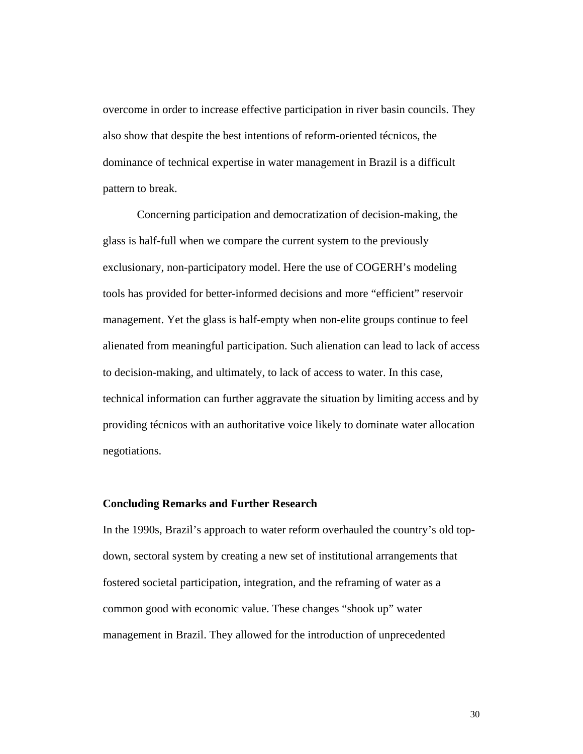overcome in order to increase effective participation in river basin councils. They also show that despite the best intentions of reform-oriented técnicos, the dominance of technical expertise in water management in Brazil is a difficult pattern to break.

Concerning participation and democratization of decision-making, the glass is half-full when we compare the current system to the previously exclusionary, non-participatory model. Here the use of COGERH's modeling tools has provided for better-informed decisions and more "efficient" reservoir management. Yet the glass is half-empty when non-elite groups continue to feel alienated from meaningful participation. Such alienation can lead to lack of access to decision-making, and ultimately, to lack of access to water. In this case, technical information can further aggravate the situation by limiting access and by providing técnicos with an authoritative voice likely to dominate water allocation negotiations.

## **Concluding Remarks and Further Research**

In the 1990s, Brazil's approach to water reform overhauled the country's old topdown, sectoral system by creating a new set of institutional arrangements that fostered societal participation, integration, and the reframing of water as a common good with economic value. These changes "shook up" water management in Brazil. They allowed for the introduction of unprecedented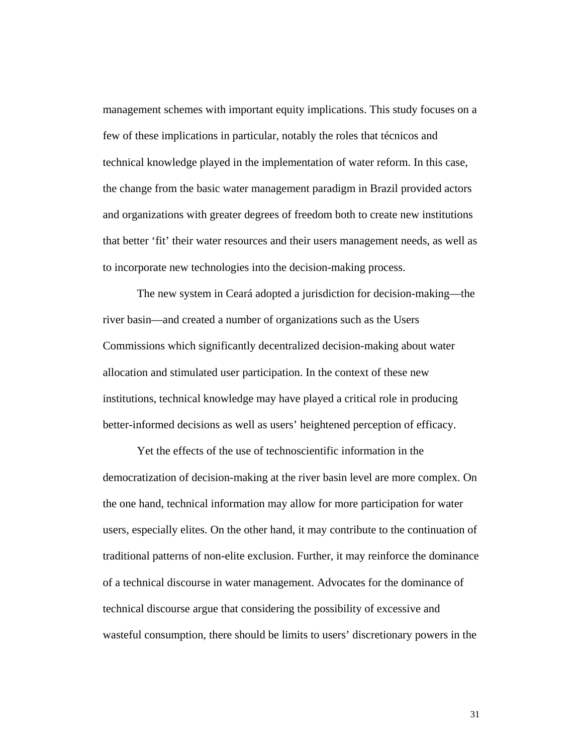management schemes with important equity implications. This study focuses on a few of these implications in particular, notably the roles that técnicos and technical knowledge played in the implementation of water reform. In this case, the change from the basic water management paradigm in Brazil provided actors and organizations with greater degrees of freedom both to create new institutions that better 'fit' their water resources and their users management needs, as well as to incorporate new technologies into the decision-making process.

The new system in Ceará adopted a jurisdiction for decision-making—the river basin—and created a number of organizations such as the Users Commissions which significantly decentralized decision-making about water allocation and stimulated user participation. In the context of these new institutions, technical knowledge may have played a critical role in producing better-informed decisions as well as users' heightened perception of efficacy.

Yet the effects of the use of technoscientific information in the democratization of decision-making at the river basin level are more complex. On the one hand, technical information may allow for more participation for water users, especially elites. On the other hand, it may contribute to the continuation of traditional patterns of non-elite exclusion. Further, it may reinforce the dominance of a technical discourse in water management. Advocates for the dominance of technical discourse argue that considering the possibility of excessive and wasteful consumption, there should be limits to users' discretionary powers in the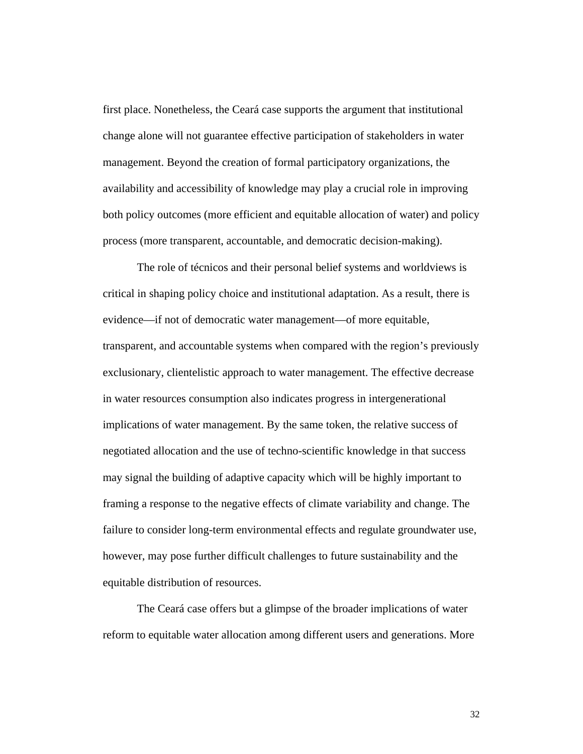first place. Nonetheless, the Ceará case supports the argument that institutional change alone will not guarantee effective participation of stakeholders in water management. Beyond the creation of formal participatory organizations, the availability and accessibility of knowledge may play a crucial role in improving both policy outcomes (more efficient and equitable allocation of water) and policy process (more transparent, accountable, and democratic decision-making).

The role of técnicos and their personal belief systems and worldviews is critical in shaping policy choice and institutional adaptation. As a result, there is evidence—if not of democratic water management—of more equitable, transparent, and accountable systems when compared with the region's previously exclusionary, clientelistic approach to water management. The effective decrease in water resources consumption also indicates progress in intergenerational implications of water management. By the same token, the relative success of negotiated allocation and the use of techno-scientific knowledge in that success may signal the building of adaptive capacity which will be highly important to framing a response to the negative effects of climate variability and change. The failure to consider long-term environmental effects and regulate groundwater use, however, may pose further difficult challenges to future sustainability and the equitable distribution of resources.

The Ceará case offers but a glimpse of the broader implications of water reform to equitable water allocation among different users and generations. More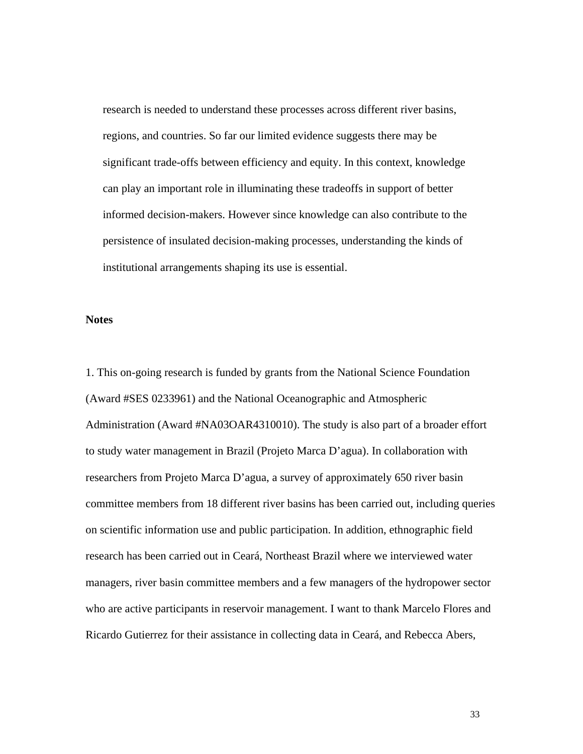research is needed to understand these processes across different river basins, regions, and countries. So far our limited evidence suggests there may be significant trade-offs between efficiency and equity. In this context, knowledge can play an important role in illuminating these tradeoffs in support of better informed decision-makers. However since knowledge can also contribute to the persistence of insulated decision-making processes, understanding the kinds of institutional arrangements shaping its use is essential.

# **Notes**

1. This on-going research is funded by grants from the National Science Foundation (Award #SES 0233961) and the National Oceanographic and Atmospheric Administration (Award #NA03OAR4310010). The study is also part of a broader effort to study water management in Brazil (Projeto Marca D'agua). In collaboration with researchers from Projeto Marca D'agua, a survey of approximately 650 river basin committee members from 18 different river basins has been carried out, including queries on scientific information use and public participation. In addition, ethnographic field research has been carried out in Ceará, Northeast Brazil where we interviewed water managers, river basin committee members and a few managers of the hydropower sector who are active participants in reservoir management. I want to thank Marcelo Flores and Ricardo Gutierrez for their assistance in collecting data in Ceará, and Rebecca Abers,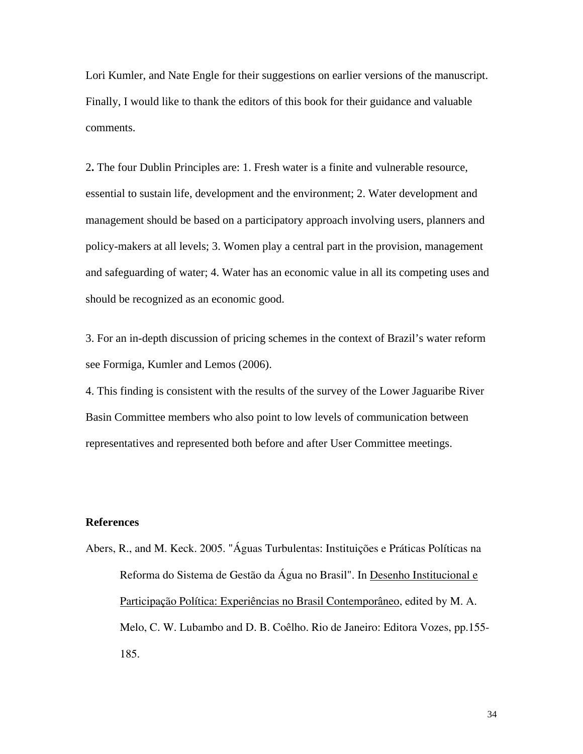Lori Kumler, and Nate Engle for their suggestions on earlier versions of the manuscript. Finally, I would like to thank the editors of this book for their guidance and valuable comments.

2**.** The four Dublin Principles are: 1. Fresh water is a finite and vulnerable resource, essential to sustain life, development and the environment; 2. Water development and management should be based on a participatory approach involving users, planners and policy-makers at all levels; 3. Women play a central part in the provision, management and safeguarding of water; 4. Water has an economic value in all its competing uses and should be recognized as an economic good.

3. For an in-depth discussion of pricing schemes in the context of Brazil's water reform see Formiga, Kumler and Lemos (2006).

4. This finding is consistent with the results of the survey of the Lower Jaguaribe River Basin Committee members who also point to low levels of communication between representatives and represented both before and after User Committee meetings.

### **References**

Abers, R., and M. Keck. 2005. "Águas Turbulentas: Instituições e Práticas Políticas na Reforma do Sistema de Gestão da Água no Brasil". In Desenho Institucional e Participação Política: Experiências no Brasil Contemporâneo, edited by M. A. Melo, C. W. Lubambo and D. B. Coêlho. Rio de Janeiro: Editora Vozes, pp.155- 185.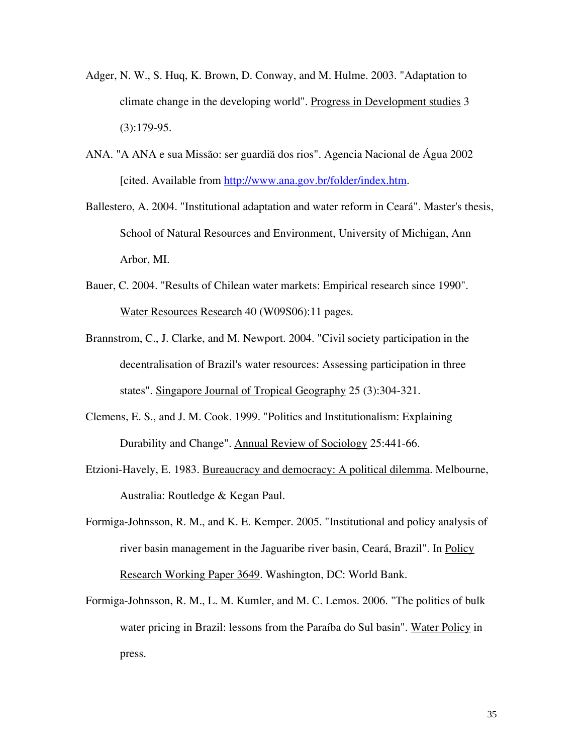- Adger, N. W., S. Huq, K. Brown, D. Conway, and M. Hulme. 2003. "Adaptation to climate change in the developing world". Progress in Development studies 3  $(3):179-95.$
- ANA. "A ANA e sua Missão: ser guardiã dos rios". Agencia Nacional de Água 2002 [cited. Available from http://www.ana.gov.br/folder/index.htm.
- Ballestero, A. 2004. "Institutional adaptation and water reform in Ceará". Master's thesis, School of Natural Resources and Environment, University of Michigan, Ann Arbor, MI.
- Bauer, C. 2004. "Results of Chilean water markets: Empirical research since 1990". Water Resources Research 40 (W09S06):11 pages.
- Brannstrom, C., J. Clarke, and M. Newport. 2004. "Civil society participation in the decentralisation of Brazil's water resources: Assessing participation in three states". Singapore Journal of Tropical Geography 25 (3):304-321.
- Clemens, E. S., and J. M. Cook. 1999. "Politics and Institutionalism: Explaining Durability and Change". Annual Review of Sociology 25:441-66.
- Etzioni-Havely, E. 1983. Bureaucracy and democracy: A political dilemma. Melbourne, Australia: Routledge & Kegan Paul.
- Formiga-Johnsson, R. M., and K. E. Kemper. 2005. "Institutional and policy analysis of river basin management in the Jaguaribe river basin, Ceará, Brazil". In Policy Research Working Paper 3649. Washington, DC: World Bank.
- Formiga-Johnsson, R. M., L. M. Kumler, and M. C. Lemos. 2006. "The politics of bulk water pricing in Brazil: lessons from the Paraíba do Sul basin". Water Policy in press.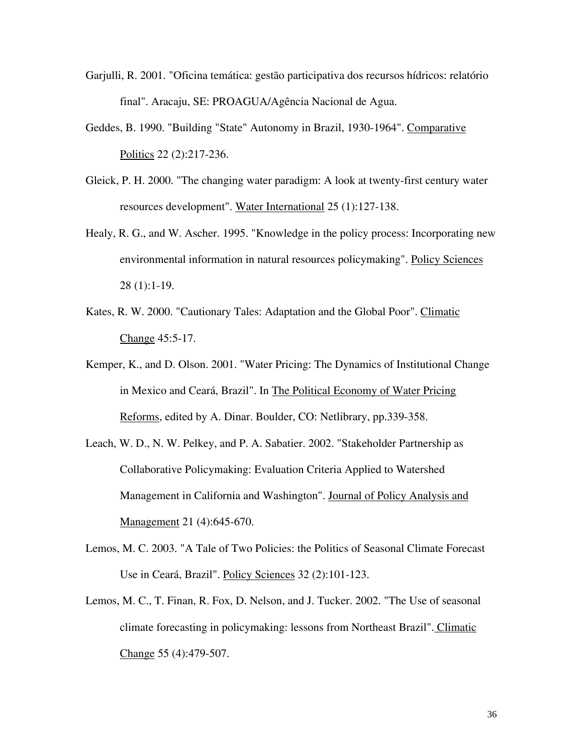- Garjulli, R. 2001. "Oficina temática: gestão participativa dos recursos hídricos: relatório final". Aracaju, SE: PROAGUA/Agência Nacional de Agua.
- Geddes, B. 1990. "Building "State" Autonomy in Brazil, 1930-1964". Comparative Politics 22 (2):217-236.
- Gleick, P. H. 2000. "The changing water paradigm: A look at twenty-first century water resources development". Water International 25 (1):127-138.
- Healy, R. G., and W. Ascher. 1995. "Knowledge in the policy process: Incorporating new environmental information in natural resources policymaking". Policy Sciences 28 (1):1-19.
- Kates, R. W. 2000. "Cautionary Tales: Adaptation and the Global Poor". Climatic Change 45:5-17.
- Kemper, K., and D. Olson. 2001. "Water Pricing: The Dynamics of Institutional Change in Mexico and Ceará, Brazil". In The Political Economy of Water Pricing Reforms, edited by A. Dinar. Boulder, CO: Netlibrary, pp.339-358.
- Leach, W. D., N. W. Pelkey, and P. A. Sabatier. 2002. "Stakeholder Partnership as Collaborative Policymaking: Evaluation Criteria Applied to Watershed Management in California and Washington". Journal of Policy Analysis and Management 21 (4):645-670.
- Lemos, M. C. 2003. "A Tale of Two Policies: the Politics of Seasonal Climate Forecast Use in Ceará, Brazil". Policy Sciences 32 (2):101-123.
- Lemos, M. C., T. Finan, R. Fox, D. Nelson, and J. Tucker. 2002. "The Use of seasonal climate forecasting in policymaking: lessons from Northeast Brazil". Climatic Change 55 (4):479-507.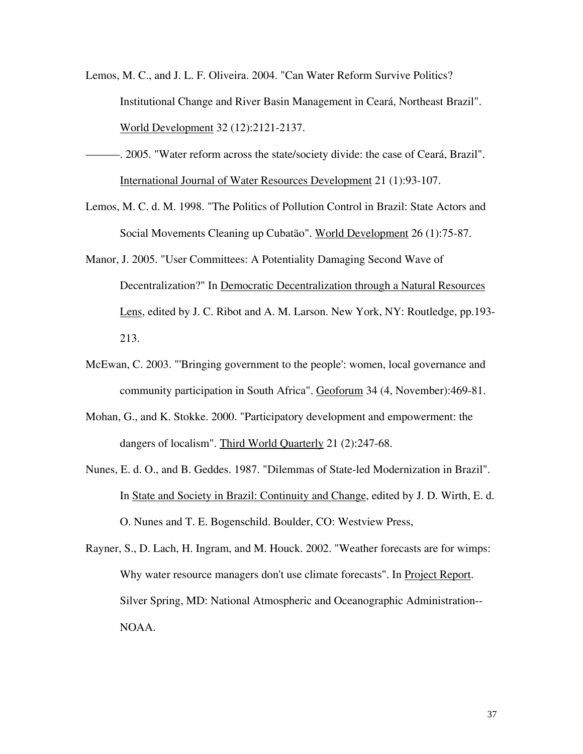- Lemos, M. C., and J. L. F. Oliveira. 2004. "Can Water Reform Survive Politics? Institutional Change and River Basin Management in Ceará, Northeast Brazil". World Development 32 (12):2121-2137.
- ———. 2005. "Water reform across the state/society divide: the case of Ceará, Brazil". International Journal of Water Resources Development 21 (1):93-107.
- Lemos, M. C. d. M. 1998. "The Politics of Pollution Control in Brazil: State Actors and Social Movements Cleaning up Cubatão". World Development 26 (1):75-87.
- Manor, J. 2005. "User Committees: A Potentiality Damaging Second Wave of Decentralization?" In Democratic Decentralization through a Natural Resources Lens, edited by J. C. Ribot and A. M. Larson. New York, NY: Routledge, pp.193- 213.
- McEwan, C. 2003. "'Bringing government to the people': women, local governance and community participation in South Africa". Geoforum 34 (4, November):469-81.
- Mohan, G., and K. Stokke. 2000. "Participatory development and empowerment: the dangers of localism". Third World Quarterly 21 (2):247-68.
- Nunes, E. d. O., and B. Geddes. 1987. "Dilemmas of State-led Modernization in Brazil". In State and Society in Brazil: Continuity and Change, edited by J. D. Wirth, E. d. O. Nunes and T. E. Bogenschild. Boulder, CO: Westview Press,
- Rayner, S., D. Lach, H. Ingram, and M. Houck. 2002. "Weather forecasts are for wimps: Why water resource managers don't use climate forecasts". In Project Report. Silver Spring, MD: National Atmospheric and Oceanographic Administration-- NOAA.